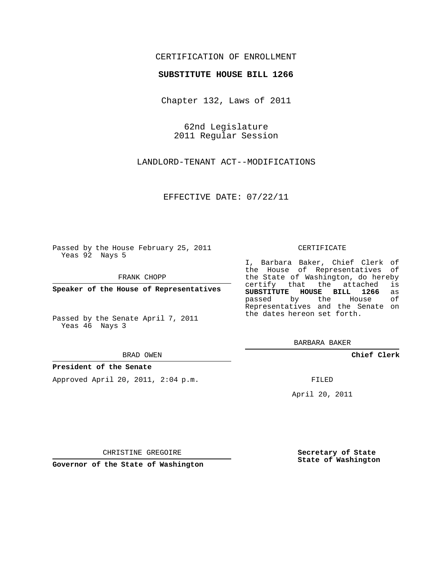## CERTIFICATION OF ENROLLMENT

#### **SUBSTITUTE HOUSE BILL 1266**

Chapter 132, Laws of 2011

62nd Legislature 2011 Regular Session

LANDLORD-TENANT ACT--MODIFICATIONS

EFFECTIVE DATE: 07/22/11

Passed by the House February 25, 2011 Yeas 92 Nays 5

FRANK CHOPP

**Speaker of the House of Representatives**

Passed by the Senate April 7, 2011 Yeas 46 Nays 3

#### BRAD OWEN

#### **President of the Senate**

Approved April 20, 2011, 2:04 p.m.

#### CERTIFICATE

I, Barbara Baker, Chief Clerk of the House of Representatives of the State of Washington, do hereby<br>certify that the attached is certify that the attached **SUBSTITUTE HOUSE BILL 1266** as passed by the House Representatives and the Senate on the dates hereon set forth.

BARBARA BAKER

**Chief Clerk**

FILED

April 20, 2011

CHRISTINE GREGOIRE

**Governor of the State of Washington**

**Secretary of State State of Washington**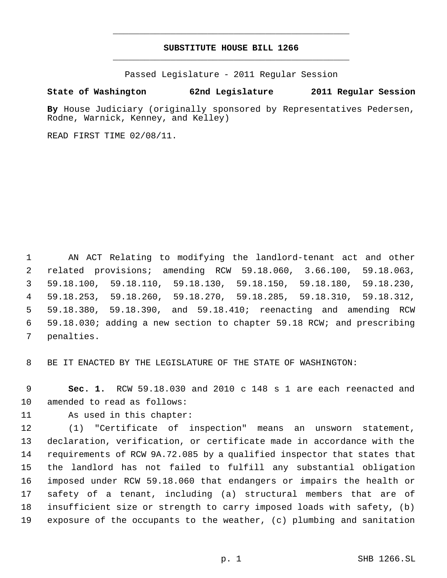# **SUBSTITUTE HOUSE BILL 1266** \_\_\_\_\_\_\_\_\_\_\_\_\_\_\_\_\_\_\_\_\_\_\_\_\_\_\_\_\_\_\_\_\_\_\_\_\_\_\_\_\_\_\_\_\_

\_\_\_\_\_\_\_\_\_\_\_\_\_\_\_\_\_\_\_\_\_\_\_\_\_\_\_\_\_\_\_\_\_\_\_\_\_\_\_\_\_\_\_\_\_

Passed Legislature - 2011 Regular Session

### **State of Washington 62nd Legislature 2011 Regular Session**

**By** House Judiciary (originally sponsored by Representatives Pedersen, Rodne, Warnick, Kenney, and Kelley)

READ FIRST TIME 02/08/11.

 AN ACT Relating to modifying the landlord-tenant act and other related provisions; amending RCW 59.18.060, 3.66.100, 59.18.063, 59.18.100, 59.18.110, 59.18.130, 59.18.150, 59.18.180, 59.18.230, 59.18.253, 59.18.260, 59.18.270, 59.18.285, 59.18.310, 59.18.312, 59.18.380, 59.18.390, and 59.18.410; reenacting and amending RCW 59.18.030; adding a new section to chapter 59.18 RCW; and prescribing penalties.

BE IT ENACTED BY THE LEGISLATURE OF THE STATE OF WASHINGTON:

 **Sec. 1.** RCW 59.18.030 and 2010 c 148 s 1 are each reenacted and amended to read as follows:

As used in this chapter:

 (1) "Certificate of inspection" means an unsworn statement, declaration, verification, or certificate made in accordance with the requirements of RCW 9A.72.085 by a qualified inspector that states that the landlord has not failed to fulfill any substantial obligation imposed under RCW 59.18.060 that endangers or impairs the health or safety of a tenant, including (a) structural members that are of insufficient size or strength to carry imposed loads with safety, (b) exposure of the occupants to the weather, (c) plumbing and sanitation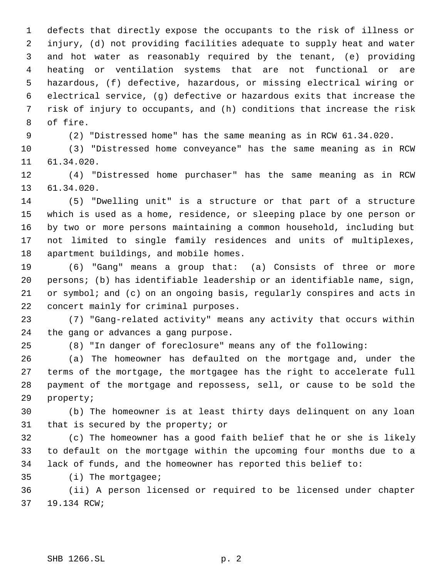defects that directly expose the occupants to the risk of illness or injury, (d) not providing facilities adequate to supply heat and water and hot water as reasonably required by the tenant, (e) providing heating or ventilation systems that are not functional or are hazardous, (f) defective, hazardous, or missing electrical wiring or electrical service, (g) defective or hazardous exits that increase the risk of injury to occupants, and (h) conditions that increase the risk of fire.

(2) "Distressed home" has the same meaning as in RCW 61.34.020.

 (3) "Distressed home conveyance" has the same meaning as in RCW 61.34.020.

 (4) "Distressed home purchaser" has the same meaning as in RCW 61.34.020.

 (5) "Dwelling unit" is a structure or that part of a structure which is used as a home, residence, or sleeping place by one person or by two or more persons maintaining a common household, including but not limited to single family residences and units of multiplexes, apartment buildings, and mobile homes.

 (6) "Gang" means a group that: (a) Consists of three or more persons; (b) has identifiable leadership or an identifiable name, sign, or symbol; and (c) on an ongoing basis, regularly conspires and acts in concert mainly for criminal purposes.

 (7) "Gang-related activity" means any activity that occurs within the gang or advances a gang purpose.

(8) "In danger of foreclosure" means any of the following:

 (a) The homeowner has defaulted on the mortgage and, under the terms of the mortgage, the mortgagee has the right to accelerate full payment of the mortgage and repossess, sell, or cause to be sold the property;

 (b) The homeowner is at least thirty days delinquent on any loan that is secured by the property; or

 (c) The homeowner has a good faith belief that he or she is likely to default on the mortgage within the upcoming four months due to a lack of funds, and the homeowner has reported this belief to:

(i) The mortgagee;

 (ii) A person licensed or required to be licensed under chapter 19.134 RCW;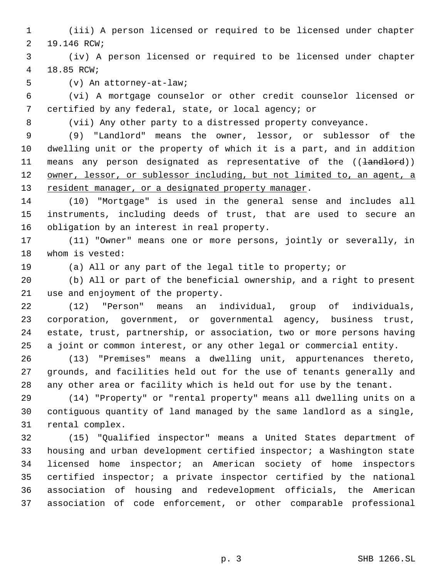(iii) A person licensed or required to be licensed under chapter 19.146 RCW;

 (iv) A person licensed or required to be licensed under chapter 18.85 RCW;

(v) An attorney-at-law;

 (vi) A mortgage counselor or other credit counselor licensed or certified by any federal, state, or local agency; or

(vii) Any other party to a distressed property conveyance.

 (9) "Landlord" means the owner, lessor, or sublessor of the dwelling unit or the property of which it is a part, and in addition 11 means any person designated as representative of the ((<del>landlord</del>)) 12 owner, lessor, or sublessor including, but not limited to, an agent, a 13 resident manager, or a designated property manager.

 (10) "Mortgage" is used in the general sense and includes all instruments, including deeds of trust, that are used to secure an obligation by an interest in real property.

 (11) "Owner" means one or more persons, jointly or severally, in whom is vested:

(a) All or any part of the legal title to property; or

 (b) All or part of the beneficial ownership, and a right to present use and enjoyment of the property.

 (12) "Person" means an individual, group of individuals, corporation, government, or governmental agency, business trust, estate, trust, partnership, or association, two or more persons having a joint or common interest, or any other legal or commercial entity.

 (13) "Premises" means a dwelling unit, appurtenances thereto, grounds, and facilities held out for the use of tenants generally and any other area or facility which is held out for use by the tenant.

 (14) "Property" or "rental property" means all dwelling units on a contiguous quantity of land managed by the same landlord as a single, rental complex.

 (15) "Qualified inspector" means a United States department of housing and urban development certified inspector; a Washington state licensed home inspector; an American society of home inspectors certified inspector; a private inspector certified by the national association of housing and redevelopment officials, the American association of code enforcement, or other comparable professional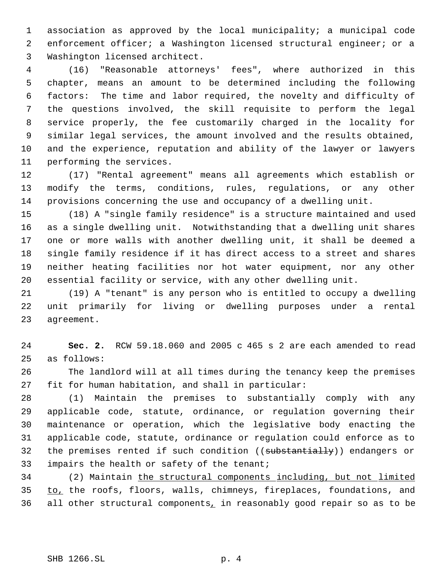association as approved by the local municipality; a municipal code enforcement officer; a Washington licensed structural engineer; or a Washington licensed architect.

 (16) "Reasonable attorneys' fees", where authorized in this chapter, means an amount to be determined including the following factors: The time and labor required, the novelty and difficulty of the questions involved, the skill requisite to perform the legal service properly, the fee customarily charged in the locality for similar legal services, the amount involved and the results obtained, and the experience, reputation and ability of the lawyer or lawyers performing the services.

 (17) "Rental agreement" means all agreements which establish or modify the terms, conditions, rules, regulations, or any other provisions concerning the use and occupancy of a dwelling unit.

 (18) A "single family residence" is a structure maintained and used as a single dwelling unit. Notwithstanding that a dwelling unit shares one or more walls with another dwelling unit, it shall be deemed a single family residence if it has direct access to a street and shares neither heating facilities nor hot water equipment, nor any other essential facility or service, with any other dwelling unit.

 (19) A "tenant" is any person who is entitled to occupy a dwelling unit primarily for living or dwelling purposes under a rental agreement.

 **Sec. 2.** RCW 59.18.060 and 2005 c 465 s 2 are each amended to read as follows:

 The landlord will at all times during the tenancy keep the premises fit for human habitation, and shall in particular:

 (1) Maintain the premises to substantially comply with any applicable code, statute, ordinance, or regulation governing their maintenance or operation, which the legislative body enacting the applicable code, statute, ordinance or regulation could enforce as to 32 the premises rented if such condition ((substantially)) endangers or impairs the health or safety of the tenant;

 (2) Maintain the structural components including, but not limited to, the roofs, floors, walls, chimneys, fireplaces, foundations, and 36 all other structural components<sub> $<sub>L</sub>$  in reasonably good repair so as to be</sub></sub>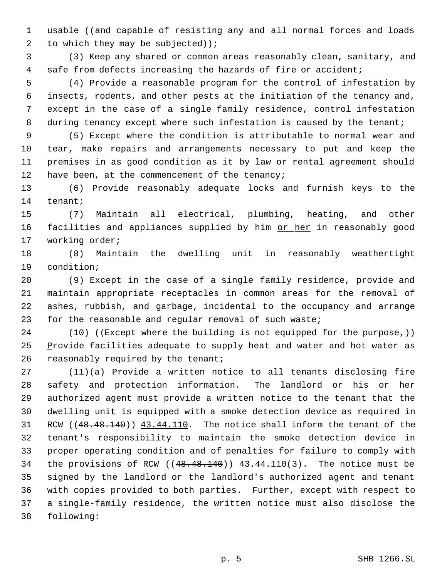1 usable ((and capable of resisting any and all normal forces and loads

2 to which they may be subjected)  $i$ 

 (3) Keep any shared or common areas reasonably clean, sanitary, and safe from defects increasing the hazards of fire or accident;

 (4) Provide a reasonable program for the control of infestation by insects, rodents, and other pests at the initiation of the tenancy and, except in the case of a single family residence, control infestation 8 during tenancy except where such infestation is caused by the tenant;

 (5) Except where the condition is attributable to normal wear and tear, make repairs and arrangements necessary to put and keep the premises in as good condition as it by law or rental agreement should 12 have been, at the commencement of the tenancy;

 (6) Provide reasonably adequate locks and furnish keys to the tenant;

 (7) Maintain all electrical, plumbing, heating, and other 16 facilities and appliances supplied by him or her in reasonably good working order;

 (8) Maintain the dwelling unit in reasonably weathertight condition;

 (9) Except in the case of a single family residence, provide and maintain appropriate receptacles in common areas for the removal of ashes, rubbish, and garbage, incidental to the occupancy and arrange for the reasonable and regular removal of such waste;

24 (10) (( $Except where the building is not equipped for the purpose<sub>r</sub>$ )) 25 Provide facilities adequate to supply heat and water and hot water as 26 reasonably required by the tenant;

 (11)(a) Provide a written notice to all tenants disclosing fire safety and protection information. The landlord or his or her authorized agent must provide a written notice to the tenant that the dwelling unit is equipped with a smoke detection device as required in 31 RCW ((48.48.140)) 43.44.110. The notice shall inform the tenant of the tenant's responsibility to maintain the smoke detection device in proper operating condition and of penalties for failure to comply with 34 the provisions of RCW  $((48.48.140))$   $43.44.110(3)$ . The notice must be signed by the landlord or the landlord's authorized agent and tenant with copies provided to both parties. Further, except with respect to a single-family residence, the written notice must also disclose the following: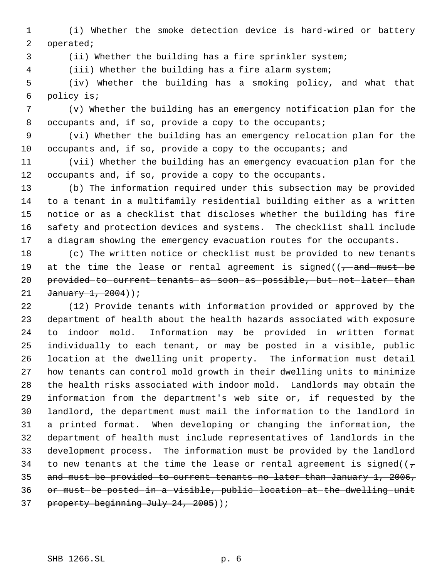(i) Whether the smoke detection device is hard-wired or battery operated;

(ii) Whether the building has a fire sprinkler system;

(iii) Whether the building has a fire alarm system;

 (iv) Whether the building has a smoking policy, and what that policy is;

 (v) Whether the building has an emergency notification plan for the 8 occupants and, if so, provide a copy to the occupants;

 (vi) Whether the building has an emergency relocation plan for the 10 occupants and, if so, provide a copy to the occupants; and

 (vii) Whether the building has an emergency evacuation plan for the occupants and, if so, provide a copy to the occupants.

 (b) The information required under this subsection may be provided to a tenant in a multifamily residential building either as a written notice or as a checklist that discloses whether the building has fire safety and protection devices and systems. The checklist shall include a diagram showing the emergency evacuation routes for the occupants.

 (c) The written notice or checklist must be provided to new tenants 19 at the time the lease or rental agreement is signed( $(-\tau)$  and must be provided to current tenants as soon as possible, but not later than  $January 1, 2004)$ ;

 (12) Provide tenants with information provided or approved by the department of health about the health hazards associated with exposure to indoor mold. Information may be provided in written format individually to each tenant, or may be posted in a visible, public location at the dwelling unit property. The information must detail how tenants can control mold growth in their dwelling units to minimize the health risks associated with indoor mold. Landlords may obtain the information from the department's web site or, if requested by the landlord, the department must mail the information to the landlord in a printed format. When developing or changing the information, the department of health must include representatives of landlords in the development process. The information must be provided by the landlord 34 to new tenants at the time the lease or rental agreement is signed( $(\tau$  and must be provided to current tenants no later than January 1, 2006, or must be posted in a visible, public location at the dwelling unit 37 property beginning July 24, 2005));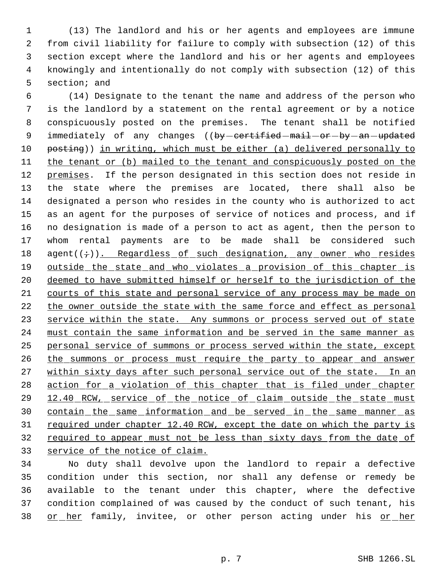(13) The landlord and his or her agents and employees are immune from civil liability for failure to comply with subsection (12) of this section except where the landlord and his or her agents and employees knowingly and intentionally do not comply with subsection (12) of this section; and

 6 (14) Designate to the tenant the name and address of the person who 7 is the landlord by a statement on the rental agreement or by a notice 8 conspicuously posted on the premises. The tenant shall be notified 9 immediately of any changes ((by-certified-mail-or-by-an-updated 10 posting)) in writing, which must be either (a) delivered personally to 11 the tenant or (b) mailed to the tenant and conspicuously posted on the 12 premises. If the person designated in this section does not reside in 13 the state where the premises are located, there shall also be 14 designated a person who resides in the county who is authorized to act 15 as an agent for the purposes of service of notices and process, and if 16 no designation is made of a person to act as agent, then the person to 17 whom rental payments are to be made shall be considered such 18 agent $((\div))$ . Regardless of such designation, any owner who resides 19 outside the state and who violates a provision of this chapter is 20 deemed to have submitted himself or herself to the jurisdiction of the 21 courts of this state and personal service of any process may be made on 22 the owner outside the state with the same force and effect as personal 23 service within the state. Any summons or process served out of state 24 must contain the same information and be served in the same manner as 25 personal service of summons or process served within the state, except 26 the summons or process must require the party to appear and answer 27 within sixty days after such personal service out of the state. In an 28 action for a violation of this chapter that is filed under chapter 29 12.40 RCW, service of the notice of claim outside the state must 30 contain the same information and be served in the same manner as 31 required under chapter 12.40 RCW, except the date on which the party is 32 required to appear must not be less than sixty days from the date of 33 service of the notice of claim.

 No duty shall devolve upon the landlord to repair a defective condition under this section, nor shall any defense or remedy be available to the tenant under this chapter, where the defective condition complained of was caused by the conduct of such tenant, his 38 or her family, invitee, or other person acting under his or her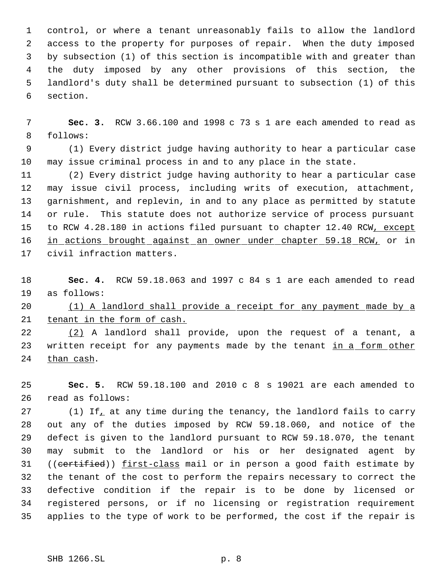control, or where a tenant unreasonably fails to allow the landlord access to the property for purposes of repair. When the duty imposed by subsection (1) of this section is incompatible with and greater than the duty imposed by any other provisions of this section, the landlord's duty shall be determined pursuant to subsection (1) of this section.

 **Sec. 3.** RCW 3.66.100 and 1998 c 73 s 1 are each amended to read as follows:

 (1) Every district judge having authority to hear a particular case may issue criminal process in and to any place in the state.

 (2) Every district judge having authority to hear a particular case may issue civil process, including writs of execution, attachment, garnishment, and replevin, in and to any place as permitted by statute or rule. This statute does not authorize service of process pursuant 15 to RCW 4.28.180 in actions filed pursuant to chapter 12.40 RCW, except 16 in actions brought against an owner under chapter 59.18 RCW, or in civil infraction matters.

 **Sec. 4.** RCW 59.18.063 and 1997 c 84 s 1 are each amended to read as follows:

 (1) A landlord shall provide a receipt for any payment made by a 21 tenant in the form of cash.

 (2) A landlord shall provide, upon the request of a tenant, a 23 written receipt for any payments made by the tenant in a form other than cash.

 **Sec. 5.** RCW 59.18.100 and 2010 c 8 s 19021 are each amended to read as follows:

27 (1) If, at any time during the tenancy, the landlord fails to carry out any of the duties imposed by RCW 59.18.060, and notice of the defect is given to the landlord pursuant to RCW 59.18.070, the tenant may submit to the landlord or his or her designated agent by 31 ((certified)) first-class mail or in person a good faith estimate by the tenant of the cost to perform the repairs necessary to correct the defective condition if the repair is to be done by licensed or registered persons, or if no licensing or registration requirement applies to the type of work to be performed, the cost if the repair is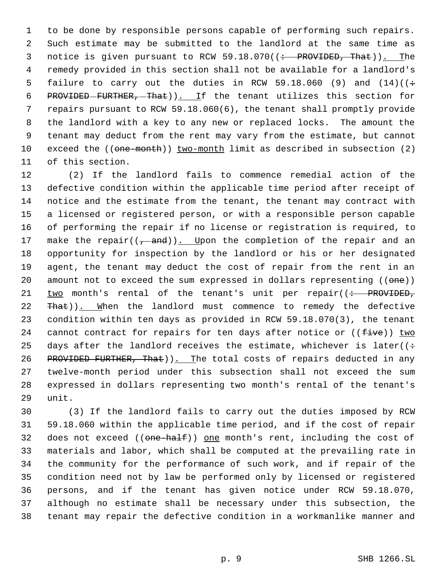to be done by responsible persons capable of performing such repairs. Such estimate may be submitted to the landlord at the same time as 3 notice is given pursuant to RCW 59.18.070((: PROVIDED, That)). The remedy provided in this section shall not be available for a landlord's 5 failure to carry out the duties in RCW 59.18.060 (9) and  $(14)((\div)$ 6 PROVIDED-FURTHER,  $-$ That)). If the tenant utilizes this section for repairs pursuant to RCW 59.18.060(6), the tenant shall promptly provide the landlord with a key to any new or replaced locks. The amount the tenant may deduct from the rent may vary from the estimate, but cannot exceed the ((one-month)) two-month limit as described in subsection (2) of this section.

 (2) If the landlord fails to commence remedial action of the defective condition within the applicable time period after receipt of notice and the estimate from the tenant, the tenant may contract with a licensed or registered person, or with a responsible person capable of performing the repair if no license or registration is required, to 17 make the repair( $(-$ and)). Upon the completion of the repair and an opportunity for inspection by the landlord or his or her designated agent, the tenant may deduct the cost of repair from the rent in an 20 amount not to exceed the sum expressed in dollars representing ((one))  $\text{two}$  month's rental of the tenant's unit per repair((: PROVIDED, 22 That)). When the landlord must commence to remedy the defective condition within ten days as provided in RCW 59.18.070(3), the tenant 24 cannot contract for repairs for ten days after notice or  $((fiv)$  two 25 days after the landlord receives the estimate, whichever is later( $($ : 26 PROVIDED FURTHER, That)). The total costs of repairs deducted in any twelve-month period under this subsection shall not exceed the sum expressed in dollars representing two month's rental of the tenant's unit.

 (3) If the landlord fails to carry out the duties imposed by RCW 59.18.060 within the applicable time period, and if the cost of repair 32 does not exceed ((one-half)) one month's rent, including the cost of materials and labor, which shall be computed at the prevailing rate in the community for the performance of such work, and if repair of the condition need not by law be performed only by licensed or registered persons, and if the tenant has given notice under RCW 59.18.070, although no estimate shall be necessary under this subsection, the tenant may repair the defective condition in a workmanlike manner and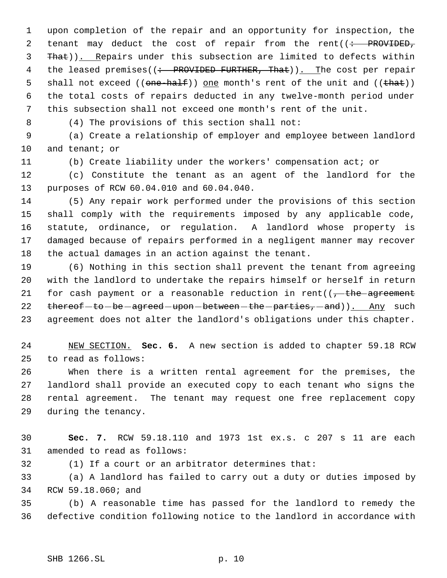upon completion of the repair and an opportunity for inspection, the 2 tenant may deduct the cost of repair from the rent( $\left(\div\right)$  PROVIDED, 3 That)). Repairs under this subsection are limited to defects within 4 the leased premises((: PROVIDED FURTHER, That)). The cost per repair 5 shall not exceed  $((one-ha)f))$  one month's rent of the unit and  $((theta))$  the total costs of repairs deducted in any twelve-month period under this subsection shall not exceed one month's rent of the unit.

(4) The provisions of this section shall not:

 (a) Create a relationship of employer and employee between landlord and tenant; or

(b) Create liability under the workers' compensation act; or

 (c) Constitute the tenant as an agent of the landlord for the purposes of RCW 60.04.010 and 60.04.040.

 (5) Any repair work performed under the provisions of this section shall comply with the requirements imposed by any applicable code, statute, ordinance, or regulation. A landlord whose property is damaged because of repairs performed in a negligent manner may recover the actual damages in an action against the tenant.

 (6) Nothing in this section shall prevent the tenant from agreeing with the landlord to undertake the repairs himself or herself in return 21 for cash payment or a reasonable reduction in rent( $(-t)$ the agreement 22 thereof-to-be-agreed-upon-between-the-parties, and)). Any such agreement does not alter the landlord's obligations under this chapter.

 NEW SECTION. **Sec. 6.** A new section is added to chapter 59.18 RCW to read as follows:

 When there is a written rental agreement for the premises, the landlord shall provide an executed copy to each tenant who signs the rental agreement. The tenant may request one free replacement copy during the tenancy.

 **Sec. 7.** RCW 59.18.110 and 1973 1st ex.s. c 207 s 11 are each amended to read as follows:

(1) If a court or an arbitrator determines that:

 (a) A landlord has failed to carry out a duty or duties imposed by RCW 59.18.060; and

 (b) A reasonable time has passed for the landlord to remedy the defective condition following notice to the landlord in accordance with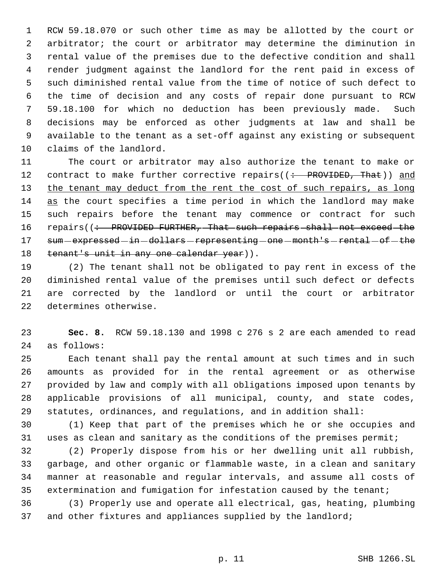RCW 59.18.070 or such other time as may be allotted by the court or arbitrator; the court or arbitrator may determine the diminution in rental value of the premises due to the defective condition and shall render judgment against the landlord for the rent paid in excess of such diminished rental value from the time of notice of such defect to the time of decision and any costs of repair done pursuant to RCW 59.18.100 for which no deduction has been previously made. Such decisions may be enforced as other judgments at law and shall be available to the tenant as a set-off against any existing or subsequent claims of the landlord.

 The court or arbitrator may also authorize the tenant to make or 12 contract to make further corrective repairs((: PROVIDED, That)) and 13 the tenant may deduct from the rent the cost of such repairs, as long 14 as the court specifies a time period in which the landlord may make such repairs before the tenant may commence or contract for such 16 repairs((: PROVIDED FURTHER, That such repairs shall not exceed the 17 sum - expressed - in - dollars - representing - one - month's - rental - of - the 18 tenant's unit in any one calendar year)).

 (2) The tenant shall not be obligated to pay rent in excess of the diminished rental value of the premises until such defect or defects are corrected by the landlord or until the court or arbitrator determines otherwise.

 **Sec. 8.** RCW 59.18.130 and 1998 c 276 s 2 are each amended to read as follows:

 Each tenant shall pay the rental amount at such times and in such amounts as provided for in the rental agreement or as otherwise provided by law and comply with all obligations imposed upon tenants by applicable provisions of all municipal, county, and state codes, statutes, ordinances, and regulations, and in addition shall:

 (1) Keep that part of the premises which he or she occupies and uses as clean and sanitary as the conditions of the premises permit;

 (2) Properly dispose from his or her dwelling unit all rubbish, garbage, and other organic or flammable waste, in a clean and sanitary manner at reasonable and regular intervals, and assume all costs of extermination and fumigation for infestation caused by the tenant;

 (3) Properly use and operate all electrical, gas, heating, plumbing 37 and other fixtures and appliances supplied by the landlord;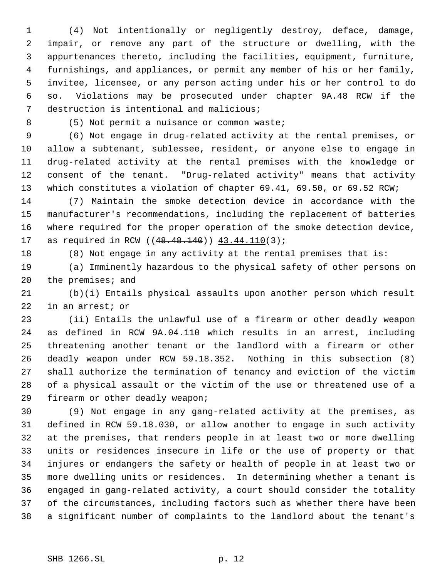(4) Not intentionally or negligently destroy, deface, damage, impair, or remove any part of the structure or dwelling, with the appurtenances thereto, including the facilities, equipment, furniture, furnishings, and appliances, or permit any member of his or her family, invitee, licensee, or any person acting under his or her control to do so. Violations may be prosecuted under chapter 9A.48 RCW if the destruction is intentional and malicious;

8 (5) Not permit a nuisance or common waste;

 (6) Not engage in drug-related activity at the rental premises, or allow a subtenant, sublessee, resident, or anyone else to engage in drug-related activity at the rental premises with the knowledge or consent of the tenant. "Drug-related activity" means that activity which constitutes a violation of chapter 69.41, 69.50, or 69.52 RCW;

 (7) Maintain the smoke detection device in accordance with the manufacturer's recommendations, including the replacement of batteries where required for the proper operation of the smoke detection device, 17 as required in RCW ((48.48.140)) 43.44.110(3);

(8) Not engage in any activity at the rental premises that is:

 (a) Imminently hazardous to the physical safety of other persons on the premises; and

 (b)(i) Entails physical assaults upon another person which result in an arrest; or

 (ii) Entails the unlawful use of a firearm or other deadly weapon as defined in RCW 9A.04.110 which results in an arrest, including threatening another tenant or the landlord with a firearm or other deadly weapon under RCW 59.18.352. Nothing in this subsection (8) shall authorize the termination of tenancy and eviction of the victim of a physical assault or the victim of the use or threatened use of a firearm or other deadly weapon;

 (9) Not engage in any gang-related activity at the premises, as defined in RCW 59.18.030, or allow another to engage in such activity at the premises, that renders people in at least two or more dwelling units or residences insecure in life or the use of property or that injures or endangers the safety or health of people in at least two or more dwelling units or residences. In determining whether a tenant is engaged in gang-related activity, a court should consider the totality of the circumstances, including factors such as whether there have been a significant number of complaints to the landlord about the tenant's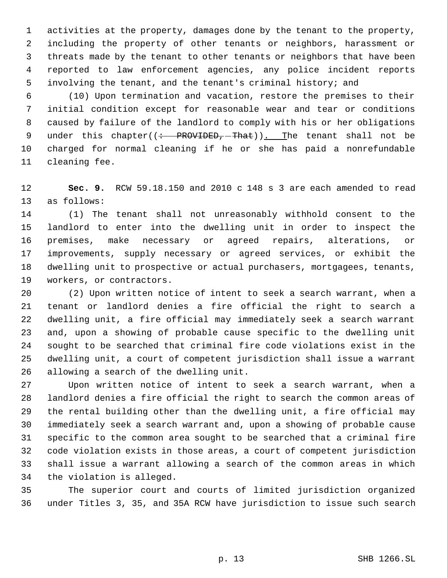activities at the property, damages done by the tenant to the property, including the property of other tenants or neighbors, harassment or threats made by the tenant to other tenants or neighbors that have been reported to law enforcement agencies, any police incident reports involving the tenant, and the tenant's criminal history; and

 (10) Upon termination and vacation, restore the premises to their initial condition except for reasonable wear and tear or conditions caused by failure of the landlord to comply with his or her obligations 9 under this chapter( $\left($ : PROVIDED, That)). The tenant shall not be charged for normal cleaning if he or she has paid a nonrefundable cleaning fee.

 **Sec. 9.** RCW 59.18.150 and 2010 c 148 s 3 are each amended to read as follows:

 (1) The tenant shall not unreasonably withhold consent to the landlord to enter into the dwelling unit in order to inspect the premises, make necessary or agreed repairs, alterations, or improvements, supply necessary or agreed services, or exhibit the dwelling unit to prospective or actual purchasers, mortgagees, tenants, workers, or contractors.

 (2) Upon written notice of intent to seek a search warrant, when a tenant or landlord denies a fire official the right to search a dwelling unit, a fire official may immediately seek a search warrant and, upon a showing of probable cause specific to the dwelling unit sought to be searched that criminal fire code violations exist in the dwelling unit, a court of competent jurisdiction shall issue a warrant allowing a search of the dwelling unit.

 Upon written notice of intent to seek a search warrant, when a landlord denies a fire official the right to search the common areas of the rental building other than the dwelling unit, a fire official may immediately seek a search warrant and, upon a showing of probable cause specific to the common area sought to be searched that a criminal fire code violation exists in those areas, a court of competent jurisdiction shall issue a warrant allowing a search of the common areas in which the violation is alleged.

 The superior court and courts of limited jurisdiction organized under Titles 3, 35, and 35A RCW have jurisdiction to issue such search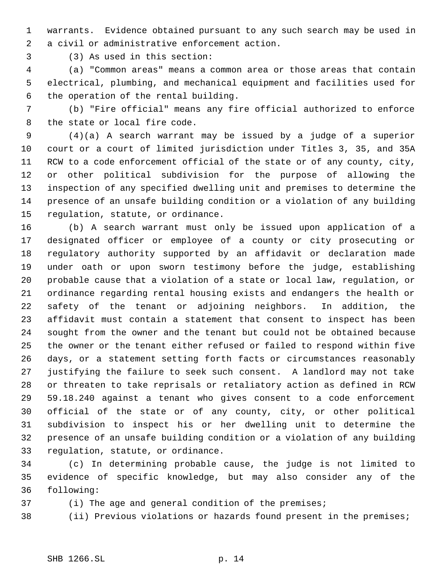warrants. Evidence obtained pursuant to any such search may be used in a civil or administrative enforcement action.

(3) As used in this section:

 (a) "Common areas" means a common area or those areas that contain electrical, plumbing, and mechanical equipment and facilities used for the operation of the rental building.

 (b) "Fire official" means any fire official authorized to enforce the state or local fire code.

 (4)(a) A search warrant may be issued by a judge of a superior court or a court of limited jurisdiction under Titles 3, 35, and 35A RCW to a code enforcement official of the state or of any county, city, or other political subdivision for the purpose of allowing the inspection of any specified dwelling unit and premises to determine the presence of an unsafe building condition or a violation of any building regulation, statute, or ordinance.

 (b) A search warrant must only be issued upon application of a designated officer or employee of a county or city prosecuting or regulatory authority supported by an affidavit or declaration made under oath or upon sworn testimony before the judge, establishing probable cause that a violation of a state or local law, regulation, or ordinance regarding rental housing exists and endangers the health or safety of the tenant or adjoining neighbors. In addition, the affidavit must contain a statement that consent to inspect has been sought from the owner and the tenant but could not be obtained because the owner or the tenant either refused or failed to respond within five days, or a statement setting forth facts or circumstances reasonably justifying the failure to seek such consent. A landlord may not take or threaten to take reprisals or retaliatory action as defined in RCW 59.18.240 against a tenant who gives consent to a code enforcement official of the state or of any county, city, or other political subdivision to inspect his or her dwelling unit to determine the presence of an unsafe building condition or a violation of any building regulation, statute, or ordinance.

 (c) In determining probable cause, the judge is not limited to evidence of specific knowledge, but may also consider any of the following:

(i) The age and general condition of the premises;

(ii) Previous violations or hazards found present in the premises;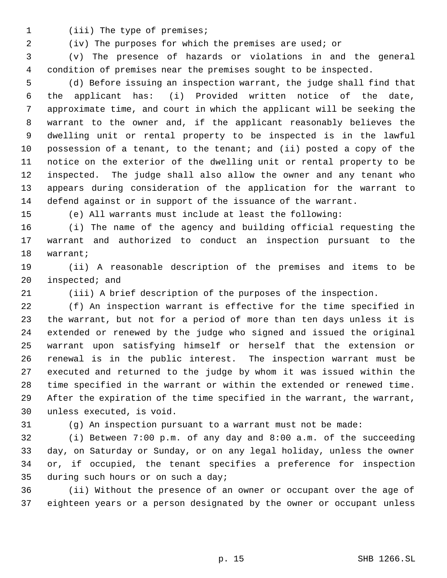1 (iii) The type of premises;

(iv) The purposes for which the premises are used; or

 (v) The presence of hazards or violations in and the general condition of premises near the premises sought to be inspected.

 (d) Before issuing an inspection warrant, the judge shall find that the applicant has: (i) Provided written notice of the date, approximate time, and court in which the applicant will be seeking the warrant to the owner and, if the applicant reasonably believes the dwelling unit or rental property to be inspected is in the lawful possession of a tenant, to the tenant; and (ii) posted a copy of the notice on the exterior of the dwelling unit or rental property to be inspected. The judge shall also allow the owner and any tenant who appears during consideration of the application for the warrant to defend against or in support of the issuance of the warrant.

(e) All warrants must include at least the following:

 (i) The name of the agency and building official requesting the warrant and authorized to conduct an inspection pursuant to the warrant;

 (ii) A reasonable description of the premises and items to be inspected; and

(iii) A brief description of the purposes of the inspection.

 (f) An inspection warrant is effective for the time specified in the warrant, but not for a period of more than ten days unless it is extended or renewed by the judge who signed and issued the original warrant upon satisfying himself or herself that the extension or renewal is in the public interest. The inspection warrant must be executed and returned to the judge by whom it was issued within the time specified in the warrant or within the extended or renewed time. After the expiration of the time specified in the warrant, the warrant, unless executed, is void.

(g) An inspection pursuant to a warrant must not be made:

 (i) Between 7:00 p.m. of any day and 8:00 a.m. of the succeeding day, on Saturday or Sunday, or on any legal holiday, unless the owner or, if occupied, the tenant specifies a preference for inspection during such hours or on such a day;

 (ii) Without the presence of an owner or occupant over the age of eighteen years or a person designated by the owner or occupant unless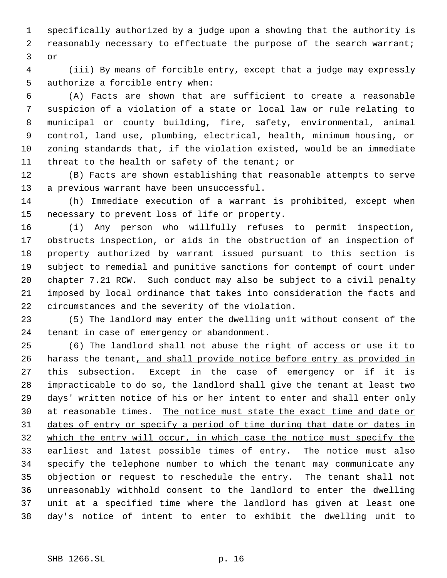specifically authorized by a judge upon a showing that the authority is reasonably necessary to effectuate the purpose of the search warrant; or

 (iii) By means of forcible entry, except that a judge may expressly authorize a forcible entry when:

 (A) Facts are shown that are sufficient to create a reasonable suspicion of a violation of a state or local law or rule relating to municipal or county building, fire, safety, environmental, animal control, land use, plumbing, electrical, health, minimum housing, or zoning standards that, if the violation existed, would be an immediate threat to the health or safety of the tenant; or

 (B) Facts are shown establishing that reasonable attempts to serve a previous warrant have been unsuccessful.

 (h) Immediate execution of a warrant is prohibited, except when necessary to prevent loss of life or property.

 (i) Any person who willfully refuses to permit inspection, obstructs inspection, or aids in the obstruction of an inspection of property authorized by warrant issued pursuant to this section is subject to remedial and punitive sanctions for contempt of court under chapter 7.21 RCW. Such conduct may also be subject to a civil penalty imposed by local ordinance that takes into consideration the facts and circumstances and the severity of the violation.

 (5) The landlord may enter the dwelling unit without consent of the tenant in case of emergency or abandonment.

 (6) The landlord shall not abuse the right of access or use it to 26 harass the tenant, and shall provide notice before entry as provided in 27 this subsection. Except in the case of emergency or if it is impracticable to do so, the landlord shall give the tenant at least two days' written notice of his or her intent to enter and shall enter only at reasonable times. The notice must state the exact time and date or dates of entry or specify a period of time during that date or dates in which the entry will occur, in which case the notice must specify the 33 earliest and latest possible times of entry. The notice must also 34 specify the telephone number to which the tenant may communicate any 35 objection or request to reschedule the entry. The tenant shall not unreasonably withhold consent to the landlord to enter the dwelling unit at a specified time where the landlord has given at least one day's notice of intent to enter to exhibit the dwelling unit to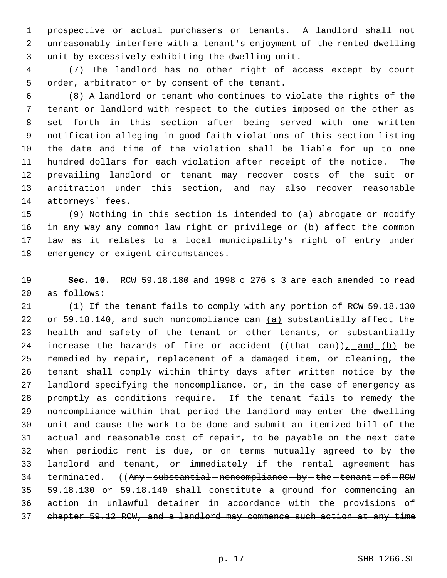prospective or actual purchasers or tenants. A landlord shall not unreasonably interfere with a tenant's enjoyment of the rented dwelling unit by excessively exhibiting the dwelling unit.

 (7) The landlord has no other right of access except by court order, arbitrator or by consent of the tenant.

 (8) A landlord or tenant who continues to violate the rights of the tenant or landlord with respect to the duties imposed on the other as set forth in this section after being served with one written notification alleging in good faith violations of this section listing the date and time of the violation shall be liable for up to one hundred dollars for each violation after receipt of the notice. The prevailing landlord or tenant may recover costs of the suit or arbitration under this section, and may also recover reasonable attorneys' fees.

 (9) Nothing in this section is intended to (a) abrogate or modify in any way any common law right or privilege or (b) affect the common law as it relates to a local municipality's right of entry under emergency or exigent circumstances.

 **Sec. 10.** RCW 59.18.180 and 1998 c 276 s 3 are each amended to read as follows:

 (1) If the tenant fails to comply with any portion of RCW 59.18.130 22 or 59.18.140, and such noncompliance can (a) substantially affect the health and safety of the tenant or other tenants, or substantially 24 increase the hazards of fire or accident  $((\text{that--can}))_{L}$  and  $(b)$  be remedied by repair, replacement of a damaged item, or cleaning, the tenant shall comply within thirty days after written notice by the landlord specifying the noncompliance, or, in the case of emergency as promptly as conditions require. If the tenant fails to remedy the noncompliance within that period the landlord may enter the dwelling unit and cause the work to be done and submit an itemized bill of the actual and reasonable cost of repair, to be payable on the next date when periodic rent is due, or on terms mutually agreed to by the landlord and tenant, or immediately if the rental agreement has 34 terminated. ((Any-substantial-noncompliance-by-the-tenant-of-RCW 35 59.18.130 - or - 59.18.140 - shall - constitute - a - ground - for - commencing - an 36 action-in-unlawful-detainer-in-accordance-with-the-provisions-of chapter 59.12 RCW, and a landlord may commence such action at any time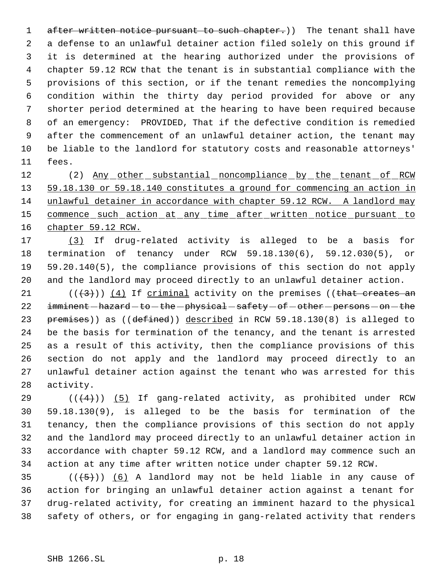1 after written notice pursuant to such chapter.)) The tenant shall have a defense to an unlawful detainer action filed solely on this ground if it is determined at the hearing authorized under the provisions of chapter 59.12 RCW that the tenant is in substantial compliance with the provisions of this section, or if the tenant remedies the noncomplying condition within the thirty day period provided for above or any shorter period determined at the hearing to have been required because of an emergency: PROVIDED, That if the defective condition is remedied after the commencement of an unlawful detainer action, the tenant may be liable to the landlord for statutory costs and reasonable attorneys' fees.

12 (2) Any other substantial noncompliance by the tenant of RCW 59.18.130 or 59.18.140 constitutes a ground for commencing an action in unlawful detainer in accordance with chapter 59.12 RCW. A landlord may 15 commence such action at any time after written notice pursuant to chapter 59.12 RCW.

 (3) If drug-related activity is alleged to be a basis for termination of tenancy under RCW 59.18.130(6), 59.12.030(5), or 59.20.140(5), the compliance provisions of this section do not apply and the landlord may proceed directly to an unlawful detainer action.

 $((+3))$  (4) If criminal activity on the premises ((that creates an 22 imminent hazard - to - the - physical - safety - of - other - persons - on - the 23 premises)) as ((defined)) described in RCW 59.18.130(8) is alleged to be the basis for termination of the tenancy, and the tenant is arrested as a result of this activity, then the compliance provisions of this section do not apply and the landlord may proceed directly to an unlawful detainer action against the tenant who was arrested for this activity.

 $((4+))$  (5) If gang-related activity, as prohibited under RCW 59.18.130(9), is alleged to be the basis for termination of the tenancy, then the compliance provisions of this section do not apply and the landlord may proceed directly to an unlawful detainer action in accordance with chapter 59.12 RCW, and a landlord may commence such an action at any time after written notice under chapter 59.12 RCW.

 $((+5))$   $(6)$  A landlord may not be held liable in any cause of action for bringing an unlawful detainer action against a tenant for drug-related activity, for creating an imminent hazard to the physical safety of others, or for engaging in gang-related activity that renders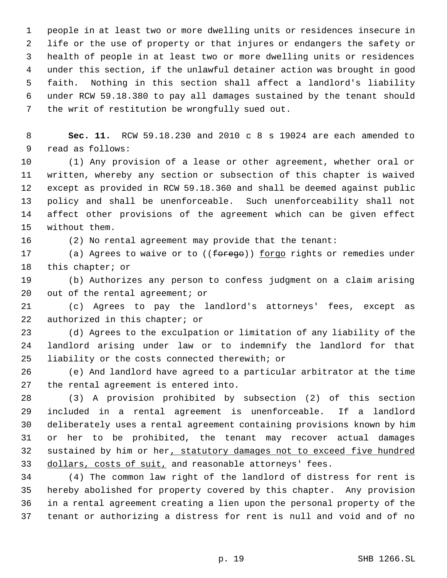people in at least two or more dwelling units or residences insecure in life or the use of property or that injures or endangers the safety or health of people in at least two or more dwelling units or residences under this section, if the unlawful detainer action was brought in good faith. Nothing in this section shall affect a landlord's liability under RCW 59.18.380 to pay all damages sustained by the tenant should the writ of restitution be wrongfully sued out.

 **Sec. 11.** RCW 59.18.230 and 2010 c 8 s 19024 are each amended to read as follows:

 (1) Any provision of a lease or other agreement, whether oral or written, whereby any section or subsection of this chapter is waived except as provided in RCW 59.18.360 and shall be deemed against public policy and shall be unenforceable. Such unenforceability shall not affect other provisions of the agreement which can be given effect without them.

(2) No rental agreement may provide that the tenant:

17 (a) Agrees to waive or to ((forego)) forgo rights or remedies under 18 this chapter; or

 (b) Authorizes any person to confess judgment on a claim arising out of the rental agreement; or

 (c) Agrees to pay the landlord's attorneys' fees, except as authorized in this chapter; or

 (d) Agrees to the exculpation or limitation of any liability of the landlord arising under law or to indemnify the landlord for that liability or the costs connected therewith; or

 (e) And landlord have agreed to a particular arbitrator at the time the rental agreement is entered into.

 (3) A provision prohibited by subsection (2) of this section included in a rental agreement is unenforceable. If a landlord deliberately uses a rental agreement containing provisions known by him or her to be prohibited, the tenant may recover actual damages 32 sustained by him or her, statutory damages not to exceed five hundred 33 dollars, costs of suit, and reasonable attorneys' fees.

 (4) The common law right of the landlord of distress for rent is hereby abolished for property covered by this chapter. Any provision in a rental agreement creating a lien upon the personal property of the tenant or authorizing a distress for rent is null and void and of no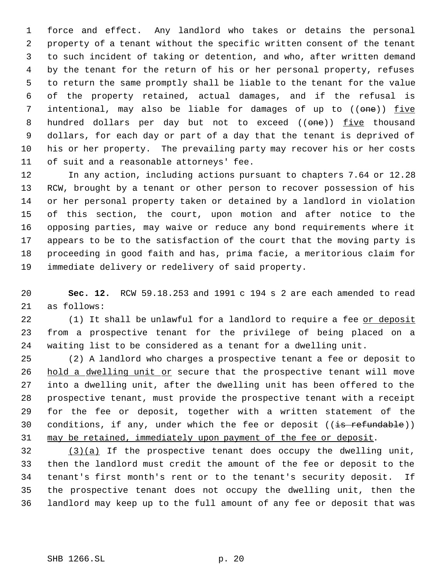force and effect. Any landlord who takes or detains the personal property of a tenant without the specific written consent of the tenant to such incident of taking or detention, and who, after written demand by the tenant for the return of his or her personal property, refuses to return the same promptly shall be liable to the tenant for the value of the property retained, actual damages, and if the refusal is 7 intentional, may also be liable for damages of up to ((one)) five 8 hundred dollars per day but not to exceed ((one)) five thousand dollars, for each day or part of a day that the tenant is deprived of his or her property. The prevailing party may recover his or her costs of suit and a reasonable attorneys' fee.

 In any action, including actions pursuant to chapters 7.64 or 12.28 RCW, brought by a tenant or other person to recover possession of his or her personal property taken or detained by a landlord in violation of this section, the court, upon motion and after notice to the opposing parties, may waive or reduce any bond requirements where it appears to be to the satisfaction of the court that the moving party is proceeding in good faith and has, prima facie, a meritorious claim for immediate delivery or redelivery of said property.

 **Sec. 12.** RCW 59.18.253 and 1991 c 194 s 2 are each amended to read as follows:

22 (1) It shall be unlawful for a landlord to require a fee or deposit from a prospective tenant for the privilege of being placed on a waiting list to be considered as a tenant for a dwelling unit.

 (2) A landlord who charges a prospective tenant a fee or deposit to 26 hold a dwelling unit or secure that the prospective tenant will move into a dwelling unit, after the dwelling unit has been offered to the prospective tenant, must provide the prospective tenant with a receipt for the fee or deposit, together with a written statement of the 30 conditions, if any, under which the fee or deposit  $((\frac{1}{18} + \frac{1}{18})$ 31 may be retained, immediately upon payment of the fee or deposit.

 (3)(a) If the prospective tenant does occupy the dwelling unit, then the landlord must credit the amount of the fee or deposit to the tenant's first month's rent or to the tenant's security deposit. If the prospective tenant does not occupy the dwelling unit, then the landlord may keep up to the full amount of any fee or deposit that was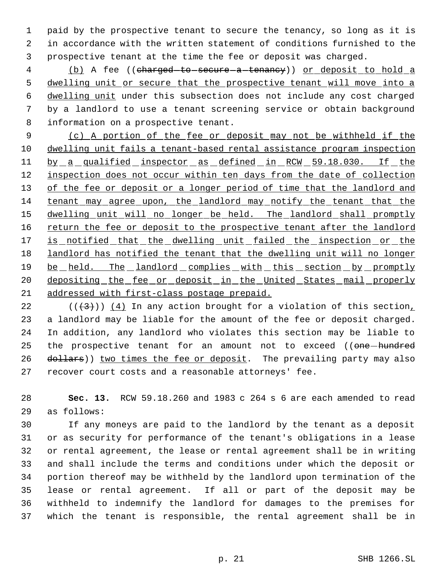paid by the prospective tenant to secure the tenancy, so long as it is in accordance with the written statement of conditions furnished to the prospective tenant at the time the fee or deposit was charged.

4 (b) A fee ((charged to secure a tenancy)) or deposit to hold a 5 dwelling unit or secure that the prospective tenant will move into a dwelling unit under this subsection does not include any cost charged by a landlord to use a tenant screening service or obtain background information on a prospective tenant.

 (c) A portion of the fee or deposit may not be withheld if the dwelling unit fails a tenant-based rental assistance program inspection 11 by a qualified inspector as defined in RCW 59.18.030. If the 12 inspection does not occur within ten days from the date of collection 13 of the fee or deposit or a longer period of time that the landlord and tenant may agree upon, the landlord may notify the tenant that the 15 dwelling unit will no longer be held. The landlord shall promptly 16 return the fee or deposit to the prospective tenant after the landlord 17 is notified that the dwelling unit failed the inspection or the landlord has notified the tenant that the dwelling unit will no longer 19 be held. The landlord complies with this section by promptly 20 depositing the fee or deposit in the United States mail properly addressed with first-class postage prepaid.

22 ( $(\frac{43}{})$ ) (4) In any action brought for a violation of this section, a landlord may be liable for the amount of the fee or deposit charged. In addition, any landlord who violates this section may be liable to 25 the prospective tenant for an amount not to exceed ((one-hundred 26 dollars)) two times the fee or deposit. The prevailing party may also recover court costs and a reasonable attorneys' fee.

 **Sec. 13.** RCW 59.18.260 and 1983 c 264 s 6 are each amended to read as follows:

 If any moneys are paid to the landlord by the tenant as a deposit or as security for performance of the tenant's obligations in a lease or rental agreement, the lease or rental agreement shall be in writing and shall include the terms and conditions under which the deposit or portion thereof may be withheld by the landlord upon termination of the lease or rental agreement. If all or part of the deposit may be withheld to indemnify the landlord for damages to the premises for which the tenant is responsible, the rental agreement shall be in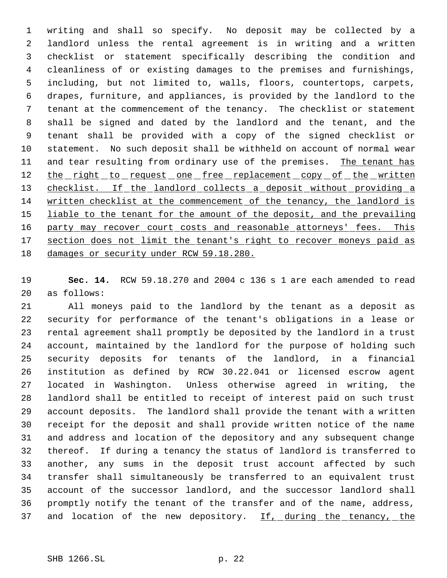writing and shall so specify. No deposit may be collected by a landlord unless the rental agreement is in writing and a written checklist or statement specifically describing the condition and cleanliness of or existing damages to the premises and furnishings, including, but not limited to, walls, floors, countertops, carpets, drapes, furniture, and appliances, is provided by the landlord to the tenant at the commencement of the tenancy. The checklist or statement shall be signed and dated by the landlord and the tenant, and the tenant shall be provided with a copy of the signed checklist or statement. No such deposit shall be withheld on account of normal wear 11 and tear resulting from ordinary use of the premises. The tenant has 12 the right to request one free replacement copy of the written 13 checklist. If the landlord collects a deposit without providing a written checklist at the commencement of the tenancy, the landlord is 15 liable to the tenant for the amount of the deposit, and the prevailing 16 party may recover court costs and reasonable attorneys' fees. This 17 section does not limit the tenant's right to recover moneys paid as damages or security under RCW 59.18.280.

 **Sec. 14.** RCW 59.18.270 and 2004 c 136 s 1 are each amended to read as follows:

 All moneys paid to the landlord by the tenant as a deposit as security for performance of the tenant's obligations in a lease or rental agreement shall promptly be deposited by the landlord in a trust account, maintained by the landlord for the purpose of holding such security deposits for tenants of the landlord, in a financial institution as defined by RCW 30.22.041 or licensed escrow agent located in Washington. Unless otherwise agreed in writing, the landlord shall be entitled to receipt of interest paid on such trust account deposits. The landlord shall provide the tenant with a written receipt for the deposit and shall provide written notice of the name and address and location of the depository and any subsequent change thereof. If during a tenancy the status of landlord is transferred to another, any sums in the deposit trust account affected by such transfer shall simultaneously be transferred to an equivalent trust account of the successor landlord, and the successor landlord shall promptly notify the tenant of the transfer and of the name, address, 37 and location of the new depository. If, during the tenancy, the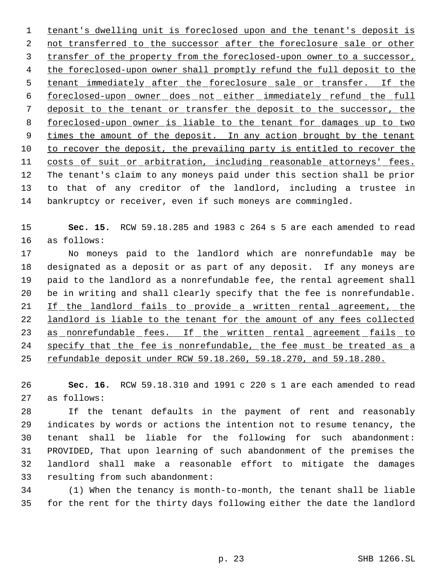tenant's dwelling unit is foreclosed upon and the tenant's deposit is 2 not transferred to the successor after the foreclosure sale or other transfer of the property from the foreclosed-upon owner to a successor, 4 the foreclosed-upon owner shall promptly refund the full deposit to the 5 tenant immediately after the foreclosure sale or transfer. If the foreclosed-upon owner does not either immediately refund the full deposit to the tenant or transfer the deposit to the successor, the foreclosed-upon owner is liable to the tenant for damages up to two 9 times the amount of the deposit. In any action brought by the tenant to recover the deposit, the prevailing party is entitled to recover the 11 costs of suit or arbitration, including reasonable attorneys' fees. The tenant's claim to any moneys paid under this section shall be prior to that of any creditor of the landlord, including a trustee in bankruptcy or receiver, even if such moneys are commingled.

 **Sec. 15.** RCW 59.18.285 and 1983 c 264 s 5 are each amended to read as follows:

 No moneys paid to the landlord which are nonrefundable may be designated as a deposit or as part of any deposit. If any moneys are paid to the landlord as a nonrefundable fee, the rental agreement shall be in writing and shall clearly specify that the fee is nonrefundable. 21 If the landlord fails to provide a written rental agreement, the 22 landlord is liable to the tenant for the amount of any fees collected 23 as nonrefundable fees. If the written rental agreement fails to specify that the fee is nonrefundable, the fee must be treated as a 25 refundable deposit under RCW 59.18.260, 59.18.270, and 59.18.280.

 **Sec. 16.** RCW 59.18.310 and 1991 c 220 s 1 are each amended to read as follows:

 If the tenant defaults in the payment of rent and reasonably indicates by words or actions the intention not to resume tenancy, the tenant shall be liable for the following for such abandonment: PROVIDED, That upon learning of such abandonment of the premises the landlord shall make a reasonable effort to mitigate the damages resulting from such abandonment:

 (1) When the tenancy is month-to-month, the tenant shall be liable for the rent for the thirty days following either the date the landlord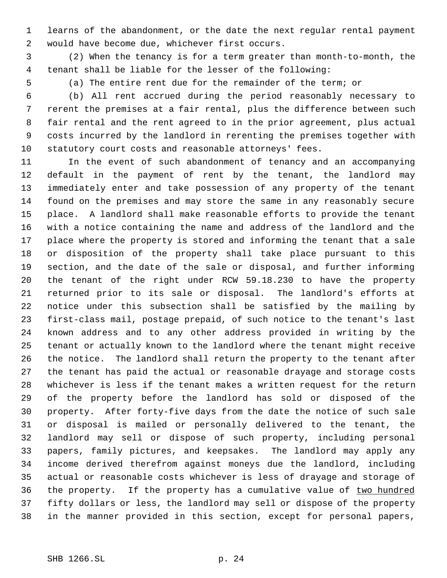learns of the abandonment, or the date the next regular rental payment would have become due, whichever first occurs.

 (2) When the tenancy is for a term greater than month-to-month, the tenant shall be liable for the lesser of the following:

(a) The entire rent due for the remainder of the term; or

 (b) All rent accrued during the period reasonably necessary to rerent the premises at a fair rental, plus the difference between such fair rental and the rent agreed to in the prior agreement, plus actual costs incurred by the landlord in rerenting the premises together with statutory court costs and reasonable attorneys' fees.

 In the event of such abandonment of tenancy and an accompanying default in the payment of rent by the tenant, the landlord may immediately enter and take possession of any property of the tenant found on the premises and may store the same in any reasonably secure place. A landlord shall make reasonable efforts to provide the tenant with a notice containing the name and address of the landlord and the place where the property is stored and informing the tenant that a sale or disposition of the property shall take place pursuant to this section, and the date of the sale or disposal, and further informing the tenant of the right under RCW 59.18.230 to have the property returned prior to its sale or disposal. The landlord's efforts at notice under this subsection shall be satisfied by the mailing by first-class mail, postage prepaid, of such notice to the tenant's last known address and to any other address provided in writing by the tenant or actually known to the landlord where the tenant might receive the notice. The landlord shall return the property to the tenant after the tenant has paid the actual or reasonable drayage and storage costs whichever is less if the tenant makes a written request for the return of the property before the landlord has sold or disposed of the property. After forty-five days from the date the notice of such sale or disposal is mailed or personally delivered to the tenant, the landlord may sell or dispose of such property, including personal papers, family pictures, and keepsakes. The landlord may apply any income derived therefrom against moneys due the landlord, including actual or reasonable costs whichever is less of drayage and storage of 36 the property. If the property has a cumulative value of two hundred fifty dollars or less, the landlord may sell or dispose of the property in the manner provided in this section, except for personal papers,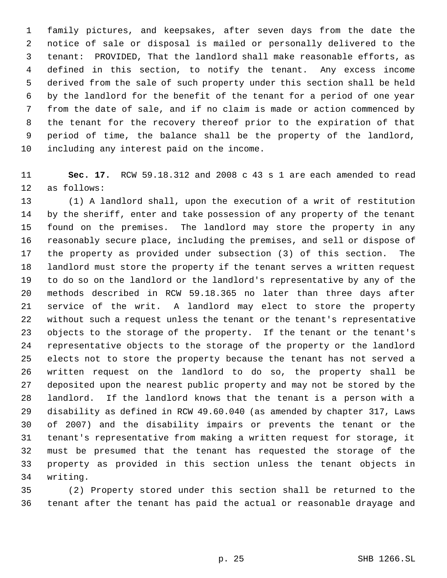family pictures, and keepsakes, after seven days from the date the notice of sale or disposal is mailed or personally delivered to the tenant: PROVIDED, That the landlord shall make reasonable efforts, as defined in this section, to notify the tenant. Any excess income derived from the sale of such property under this section shall be held by the landlord for the benefit of the tenant for a period of one year from the date of sale, and if no claim is made or action commenced by the tenant for the recovery thereof prior to the expiration of that period of time, the balance shall be the property of the landlord, including any interest paid on the income.

 **Sec. 17.** RCW 59.18.312 and 2008 c 43 s 1 are each amended to read as follows:

 (1) A landlord shall, upon the execution of a writ of restitution by the sheriff, enter and take possession of any property of the tenant found on the premises. The landlord may store the property in any reasonably secure place, including the premises, and sell or dispose of the property as provided under subsection (3) of this section. The landlord must store the property if the tenant serves a written request to do so on the landlord or the landlord's representative by any of the methods described in RCW 59.18.365 no later than three days after service of the writ. A landlord may elect to store the property without such a request unless the tenant or the tenant's representative objects to the storage of the property. If the tenant or the tenant's representative objects to the storage of the property or the landlord elects not to store the property because the tenant has not served a written request on the landlord to do so, the property shall be deposited upon the nearest public property and may not be stored by the landlord. If the landlord knows that the tenant is a person with a disability as defined in RCW 49.60.040 (as amended by chapter 317, Laws of 2007) and the disability impairs or prevents the tenant or the tenant's representative from making a written request for storage, it must be presumed that the tenant has requested the storage of the property as provided in this section unless the tenant objects in writing.

 (2) Property stored under this section shall be returned to the tenant after the tenant has paid the actual or reasonable drayage and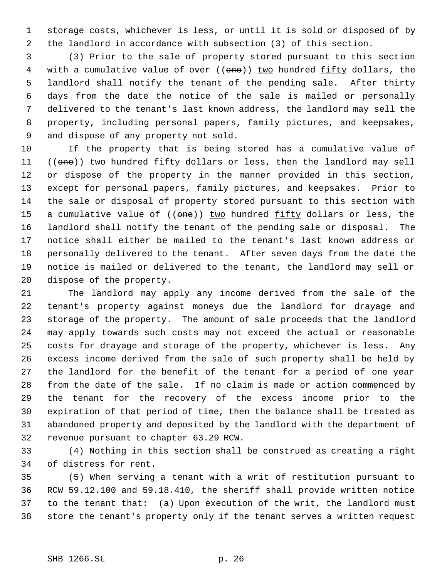storage costs, whichever is less, or until it is sold or disposed of by the landlord in accordance with subsection (3) of this section.

 (3) Prior to the sale of property stored pursuant to this section 4 with a cumulative value of over ((one)) two hundred fifty dollars, the landlord shall notify the tenant of the pending sale. After thirty days from the date the notice of the sale is mailed or personally delivered to the tenant's last known address, the landlord may sell the property, including personal papers, family pictures, and keepsakes, and dispose of any property not sold.

 If the property that is being stored has a cumulative value of 11 ((one)) two hundred fifty dollars or less, then the landlord may sell or dispose of the property in the manner provided in this section, except for personal papers, family pictures, and keepsakes. Prior to the sale or disposal of property stored pursuant to this section with 15 a cumulative value of ((one)) two hundred fifty dollars or less, the landlord shall notify the tenant of the pending sale or disposal. The notice shall either be mailed to the tenant's last known address or personally delivered to the tenant. After seven days from the date the notice is mailed or delivered to the tenant, the landlord may sell or dispose of the property.

 The landlord may apply any income derived from the sale of the tenant's property against moneys due the landlord for drayage and storage of the property. The amount of sale proceeds that the landlord may apply towards such costs may not exceed the actual or reasonable costs for drayage and storage of the property, whichever is less. Any excess income derived from the sale of such property shall be held by the landlord for the benefit of the tenant for a period of one year from the date of the sale. If no claim is made or action commenced by the tenant for the recovery of the excess income prior to the expiration of that period of time, then the balance shall be treated as abandoned property and deposited by the landlord with the department of revenue pursuant to chapter 63.29 RCW.

 (4) Nothing in this section shall be construed as creating a right of distress for rent.

 (5) When serving a tenant with a writ of restitution pursuant to RCW 59.12.100 and 59.18.410, the sheriff shall provide written notice to the tenant that: (a) Upon execution of the writ, the landlord must store the tenant's property only if the tenant serves a written request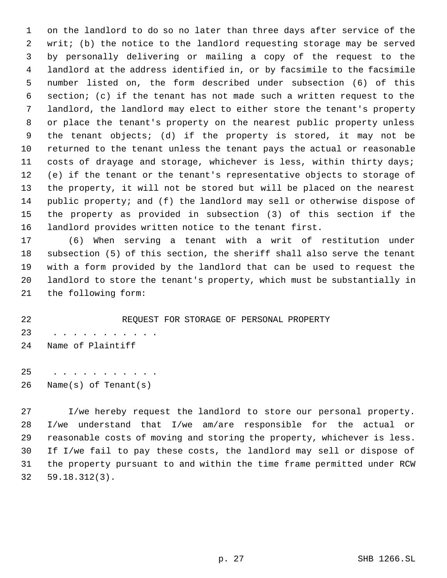on the landlord to do so no later than three days after service of the writ; (b) the notice to the landlord requesting storage may be served by personally delivering or mailing a copy of the request to the landlord at the address identified in, or by facsimile to the facsimile number listed on, the form described under subsection (6) of this section; (c) if the tenant has not made such a written request to the landlord, the landlord may elect to either store the tenant's property or place the tenant's property on the nearest public property unless the tenant objects; (d) if the property is stored, it may not be returned to the tenant unless the tenant pays the actual or reasonable costs of drayage and storage, whichever is less, within thirty days; (e) if the tenant or the tenant's representative objects to storage of the property, it will not be stored but will be placed on the nearest public property; and (f) the landlord may sell or otherwise dispose of the property as provided in subsection (3) of this section if the landlord provides written notice to the tenant first.

 (6) When serving a tenant with a writ of restitution under subsection (5) of this section, the sheriff shall also serve the tenant with a form provided by the landlord that can be used to request the landlord to store the tenant's property, which must be substantially in the following form:

 REQUEST FOR STORAGE OF PERSONAL PROPERTY 23 . . . . . . . . . . . Name of Plaintiff

25 . . . . . . . . . . . Name(s) of Tenant(s)

 I/we hereby request the landlord to store our personal property. 28 I/we understand that  $I/we$  am/are responsible for the actual or reasonable costs of moving and storing the property, whichever is less. If I/we fail to pay these costs, the landlord may sell or dispose of the property pursuant to and within the time frame permitted under RCW 59.18.312(3).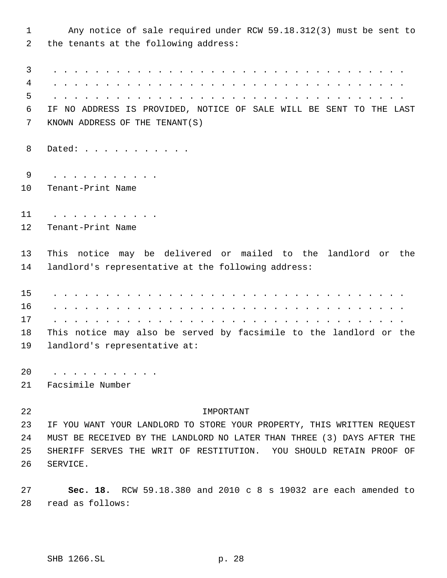Any notice of sale required under RCW 59.18.312(3) must be sent to the tenants at the following address: 3 . . . . . . . . . . . . . . . . . . . . . . . . . . . . . . . . . . 4 . . . . . . . . . . . . . . . . . . . . . . . . . . . . . . . . . . 5 . . . . . . . . . . . . . . . . . . . . . . . . . . . . . . . . . . IF NO ADDRESS IS PROVIDED, NOTICE OF SALE WILL BE SENT TO THE LAST KNOWN ADDRESS OF THE TENANT(S) 8 Dated: . . . . . . . . . . . 9 . . . . . . . . . . . Tenant-Print Name 11 . . . . . . . . . . . Tenant-Print Name This notice may be delivered or mailed to the landlord or the landlord's representative at the following address: 15 . . . . . . . . . . . . . . . . . . . . . . . . . . . . . . . . . . 16 . . . . . . . . . . . . . . . . . . . . . . . . . . . . . . . . . . 17 . . . . . . . . . . . . . . . . . . . . . . . . . . . . . . . . . . This notice may also be served by facsimile to the landlord or the landlord's representative at: 20 . . . . . . . . . . . Facsimile Number IMPORTANT IF YOU WANT YOUR LANDLORD TO STORE YOUR PROPERTY, THIS WRITTEN REQUEST MUST BE RECEIVED BY THE LANDLORD NO LATER THAN THREE (3) DAYS AFTER THE SHERIFF SERVES THE WRIT OF RESTITUTION. YOU SHOULD RETAIN PROOF OF SERVICE. **Sec. 18.** RCW 59.18.380 and 2010 c 8 s 19032 are each amended to read as follows: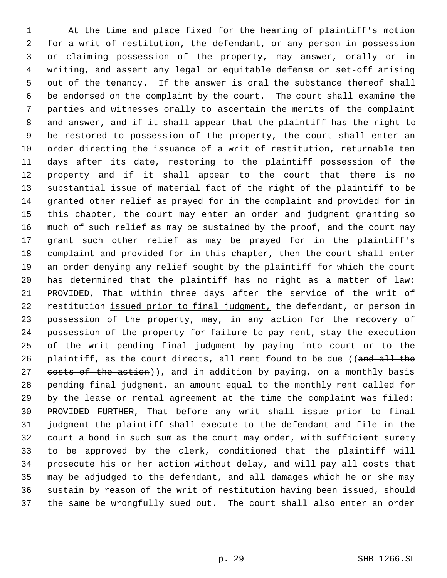At the time and place fixed for the hearing of plaintiff's motion for a writ of restitution, the defendant, or any person in possession or claiming possession of the property, may answer, orally or in writing, and assert any legal or equitable defense or set-off arising out of the tenancy. If the answer is oral the substance thereof shall be endorsed on the complaint by the court. The court shall examine the parties and witnesses orally to ascertain the merits of the complaint and answer, and if it shall appear that the plaintiff has the right to be restored to possession of the property, the court shall enter an order directing the issuance of a writ of restitution, returnable ten days after its date, restoring to the plaintiff possession of the property and if it shall appear to the court that there is no substantial issue of material fact of the right of the plaintiff to be granted other relief as prayed for in the complaint and provided for in this chapter, the court may enter an order and judgment granting so much of such relief as may be sustained by the proof, and the court may grant such other relief as may be prayed for in the plaintiff's complaint and provided for in this chapter, then the court shall enter an order denying any relief sought by the plaintiff for which the court has determined that the plaintiff has no right as a matter of law: PROVIDED, That within three days after the service of the writ of 22 restitution issued prior to final judgment, the defendant, or person in possession of the property, may, in any action for the recovery of possession of the property for failure to pay rent, stay the execution of the writ pending final judgment by paying into court or to the 26 plaintiff, as the court directs, all rent found to be due ((and all the 27 costs of the action)), and in addition by paying, on a monthly basis pending final judgment, an amount equal to the monthly rent called for by the lease or rental agreement at the time the complaint was filed: PROVIDED FURTHER, That before any writ shall issue prior to final judgment the plaintiff shall execute to the defendant and file in the court a bond in such sum as the court may order, with sufficient surety to be approved by the clerk, conditioned that the plaintiff will prosecute his or her action without delay, and will pay all costs that may be adjudged to the defendant, and all damages which he or she may sustain by reason of the writ of restitution having been issued, should the same be wrongfully sued out. The court shall also enter an order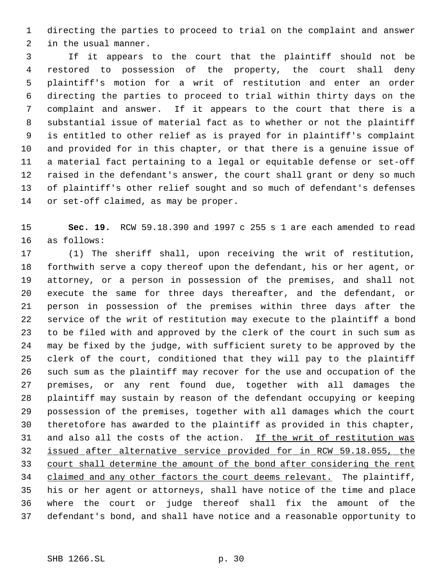directing the parties to proceed to trial on the complaint and answer in the usual manner.

 If it appears to the court that the plaintiff should not be restored to possession of the property, the court shall deny plaintiff's motion for a writ of restitution and enter an order directing the parties to proceed to trial within thirty days on the complaint and answer. If it appears to the court that there is a substantial issue of material fact as to whether or not the plaintiff is entitled to other relief as is prayed for in plaintiff's complaint and provided for in this chapter, or that there is a genuine issue of a material fact pertaining to a legal or equitable defense or set-off raised in the defendant's answer, the court shall grant or deny so much of plaintiff's other relief sought and so much of defendant's defenses or set-off claimed, as may be proper.

 **Sec. 19.** RCW 59.18.390 and 1997 c 255 s 1 are each amended to read as follows:

 (1) The sheriff shall, upon receiving the writ of restitution, forthwith serve a copy thereof upon the defendant, his or her agent, or attorney, or a person in possession of the premises, and shall not execute the same for three days thereafter, and the defendant, or person in possession of the premises within three days after the service of the writ of restitution may execute to the plaintiff a bond to be filed with and approved by the clerk of the court in such sum as may be fixed by the judge, with sufficient surety to be approved by the clerk of the court, conditioned that they will pay to the plaintiff such sum as the plaintiff may recover for the use and occupation of the premises, or any rent found due, together with all damages the plaintiff may sustain by reason of the defendant occupying or keeping possession of the premises, together with all damages which the court theretofore has awarded to the plaintiff as provided in this chapter, 31 and also all the costs of the action. If the writ of restitution was issued after alternative service provided for in RCW 59.18.055, the court shall determine the amount of the bond after considering the rent 34 claimed and any other factors the court deems relevant. The plaintiff, his or her agent or attorneys, shall have notice of the time and place where the court or judge thereof shall fix the amount of the defendant's bond, and shall have notice and a reasonable opportunity to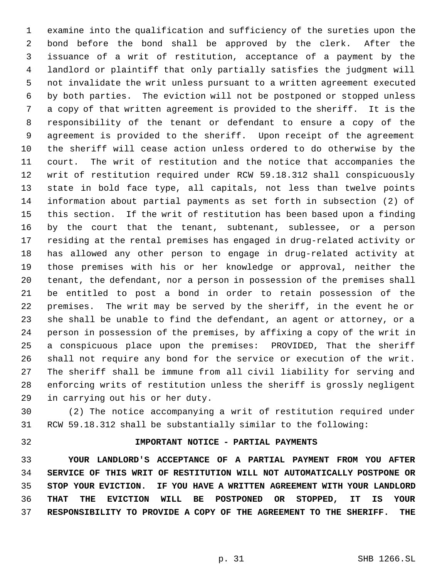examine into the qualification and sufficiency of the sureties upon the bond before the bond shall be approved by the clerk. After the issuance of a writ of restitution, acceptance of a payment by the landlord or plaintiff that only partially satisfies the judgment will not invalidate the writ unless pursuant to a written agreement executed by both parties. The eviction will not be postponed or stopped unless a copy of that written agreement is provided to the sheriff. It is the responsibility of the tenant or defendant to ensure a copy of the agreement is provided to the sheriff. Upon receipt of the agreement the sheriff will cease action unless ordered to do otherwise by the court. The writ of restitution and the notice that accompanies the writ of restitution required under RCW 59.18.312 shall conspicuously state in bold face type, all capitals, not less than twelve points information about partial payments as set forth in subsection (2) of this section. If the writ of restitution has been based upon a finding by the court that the tenant, subtenant, sublessee, or a person residing at the rental premises has engaged in drug-related activity or has allowed any other person to engage in drug-related activity at those premises with his or her knowledge or approval, neither the tenant, the defendant, nor a person in possession of the premises shall be entitled to post a bond in order to retain possession of the premises. The writ may be served by the sheriff, in the event he or she shall be unable to find the defendant, an agent or attorney, or a person in possession of the premises, by affixing a copy of the writ in a conspicuous place upon the premises: PROVIDED, That the sheriff shall not require any bond for the service or execution of the writ. The sheriff shall be immune from all civil liability for serving and enforcing writs of restitution unless the sheriff is grossly negligent in carrying out his or her duty.

 (2) The notice accompanying a writ of restitution required under RCW 59.18.312 shall be substantially similar to the following:

# **IMPORTANT NOTICE - PARTIAL PAYMENTS**

 **YOUR LANDLORD'S ACCEPTANCE OF A PARTIAL PAYMENT FROM YOU AFTER SERVICE OF THIS WRIT OF RESTITUTION WILL NOT AUTOMATICALLY POSTPONE OR STOP YOUR EVICTION. IF YOU HAVE A WRITTEN AGREEMENT WITH YOUR LANDLORD THAT THE EVICTION WILL BE POSTPONED OR STOPPED, IT IS YOUR RESPONSIBILITY TO PROVIDE A COPY OF THE AGREEMENT TO THE SHERIFF. THE**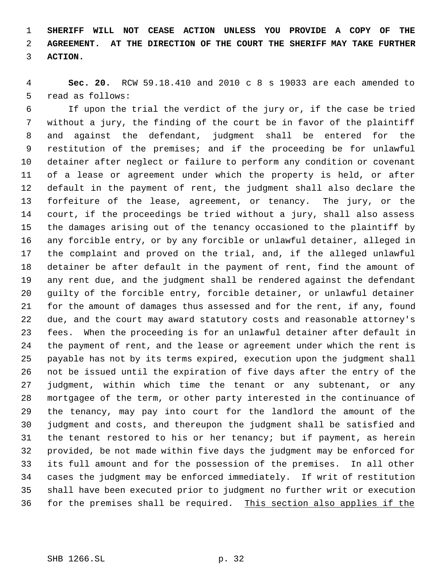**SHERIFF WILL NOT CEASE ACTION UNLESS YOU PROVIDE A COPY OF THE AGREEMENT. AT THE DIRECTION OF THE COURT THE SHERIFF MAY TAKE FURTHER ACTION.**

 **Sec. 20.** RCW 59.18.410 and 2010 c 8 s 19033 are each amended to read as follows:

 If upon the trial the verdict of the jury or, if the case be tried without a jury, the finding of the court be in favor of the plaintiff and against the defendant, judgment shall be entered for the restitution of the premises; and if the proceeding be for unlawful detainer after neglect or failure to perform any condition or covenant of a lease or agreement under which the property is held, or after default in the payment of rent, the judgment shall also declare the forfeiture of the lease, agreement, or tenancy. The jury, or the court, if the proceedings be tried without a jury, shall also assess the damages arising out of the tenancy occasioned to the plaintiff by any forcible entry, or by any forcible or unlawful detainer, alleged in the complaint and proved on the trial, and, if the alleged unlawful detainer be after default in the payment of rent, find the amount of any rent due, and the judgment shall be rendered against the defendant guilty of the forcible entry, forcible detainer, or unlawful detainer for the amount of damages thus assessed and for the rent, if any, found due, and the court may award statutory costs and reasonable attorney's fees. When the proceeding is for an unlawful detainer after default in the payment of rent, and the lease or agreement under which the rent is payable has not by its terms expired, execution upon the judgment shall not be issued until the expiration of five days after the entry of the judgment, within which time the tenant or any subtenant, or any mortgagee of the term, or other party interested in the continuance of the tenancy, may pay into court for the landlord the amount of the judgment and costs, and thereupon the judgment shall be satisfied and the tenant restored to his or her tenancy; but if payment, as herein provided, be not made within five days the judgment may be enforced for its full amount and for the possession of the premises. In all other cases the judgment may be enforced immediately. If writ of restitution shall have been executed prior to judgment no further writ or execution for the premises shall be required. This section also applies if the